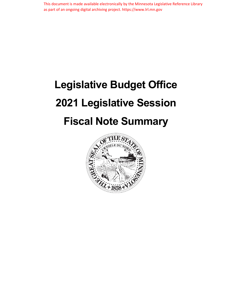This document is made available electronically by the Minnesota Legislative Reference Library as part of an ongoing digital archiving project. https://www.lrl.mn.gov

# **Legislative Budget Office 2021 Legislative Session Fiscal Note Summary**

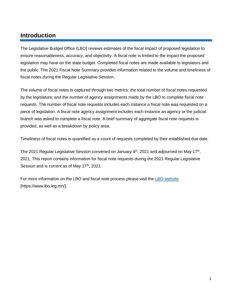## **Introduction**

The Legislative Budget Office (LBO) reviews estimates of the fiscal impact of proposed legislation to ensure reasonableness, accuracy, and objectivity. A fiscal note is limited to the impact the proposed legislation may have on the state budget. Completed fiscal notes are made available to legislators and the public. The 2021 Fiscal Note Summary provides information related to the volume and timeliness of fiscal notes during the Regular Legislative Session.

The volume of fiscal notes is captured through two metrics: the total number of fiscal notes requested by the legislature; and the number of agency assignments made by the LBO to complete fiscal note requests. The number of fiscal note requests includes each instance a fiscal note was requested on a piece of legislation. A fiscal note agency assignment includes each instance an agency or the judicial branch was asked to complete a fiscal note. A brief summary of aggregate fiscal note requests is provided, as well as a breakdown by policy area.

Timeliness of fiscal notes is quantified as a count of requests completed by their established due date.

The 2021 Regular Legislative Session convened on January  $4<sup>th</sup>$ , 2021 and adjourned on May 17<sup>th</sup>, 2021. This report contains information for fiscal note requests during the 2021 Regular Legislative Session and is current as of May  $17<sup>th</sup>$ , 2021.

For more information on the LBO and fiscal note process please visit the [LBO website](https://www.lbo.leg.mn/) [https://www.lbo.leg.mn/].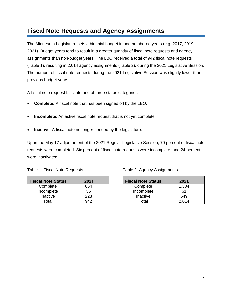## **Fiscal Note Requests and Agency Assignments**

The Minnesota Legislature sets a biennial budget in odd numbered years (e.g. 2017, 2019, 2021). Budget years tend to result in a greater quantity of fiscal note requests and agency assignments than non-budget years. The LBO received a total of 942 fiscal note requests (Table 1), resulting in 2,014 agency assignments (Table 2), during the 2021 Legislative Session. The number of fiscal note requests during the 2021 Legislative Session was slightly lower than previous budget years.

A fiscal note request falls into one of three status categories:

- **Complete:** A fiscal note that has been signed off by the LBO.
- **Incomplete**: An active fiscal note request that is not yet complete.
- **Inactive**: A fiscal note no longer needed by the legislature.

Upon the May 17 adjournment of the 2021 Regular Legislative Session, 70 percent of fiscal note requests were completed. Six percent of fiscal note requests were incomplete, and 24 percent were inactivated.

|  |  |  | Table 1. Fiscal Note Requests |
|--|--|--|-------------------------------|
|--|--|--|-------------------------------|

| <b>Fiscal Note Status</b> | 2021 |
|---------------------------|------|
| Complete                  | 664  |
| Incomplete                | 55   |
| Inactive                  | 223  |
| Total                     | 942  |

#### Table 2. Agency Assignments

| <b>Fiscal Note Status</b> | 2021  |
|---------------------------|-------|
| Complete                  | 1,304 |
| Incomplete                | 61    |
| Inactive                  | 649   |
| Total                     | 2.014 |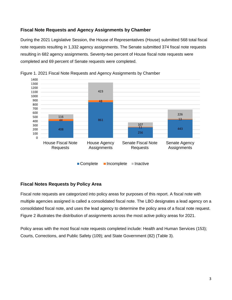#### **Fiscal Note Requests and Agency Assignments by Chamber**

During the 2021 Legislative Session, the House of Representatives (House) submitted 568 total fiscal note requests resulting in 1,332 agency assignments. The Senate submitted 374 fiscal note requests resulting in 682 agency assignments. Seventy-two percent of House fiscal note requests were completed and 69 percent of Senate requests were completed.



Figure 1. 2021 Fiscal Note Requests and Agency Assignments by Chamber

#### **Fiscal Notes Requests by Policy Area**

Fiscal note requests are categorized into policy areas for purposes of this report. A fiscal note with multiple agencies assigned is called a consolidated fiscal note. The LBO designates a lead agency on a consolidated fiscal note, and uses the lead agency to determine the policy area of a fiscal note request. Figure 2 illustrates the distribution of assignments across the most active policy areas for 2021.

Policy areas with the most fiscal note requests completed include: Health and Human Services (153); Courts, Corrections, and Public Safety (109); and State Government (82) (Table 3).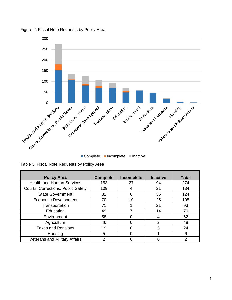

Figure 2. Fiscal Note Requests by Policy Area

■ Complete ■ Incomplete ■ Inactive

|  |  | Table 3. Fiscal Note Requests by Policy Area |  |
|--|--|----------------------------------------------|--|
|  |  |                                              |  |

| <b>Policy Area</b>                   | <b>Complete</b> | Incomplete | <b>Inactive</b> | <b>Total</b> |
|--------------------------------------|-----------------|------------|-----------------|--------------|
| <b>Health and Human Services</b>     | 153             | 27         | 94              | 274          |
| Courts, Corrections, Public Safety   | 109             | 4          | 21              | 134          |
| <b>State Government</b>              | 82              | 6          | 36              | 124          |
| <b>Economic Development</b>          | 70              | 10         | 25              | 105          |
| Transportation                       | 71              |            | 21              | 93           |
| Education                            | 49              |            | 14              | 70           |
| Environment                          | 58              | 0          | 4               | 62           |
| Agriculture                          | 46              | 0          | 2               | 48           |
| <b>Taxes and Pensions</b>            | 19              | 0          | 5               | 24           |
| Housing                              | 5               | ი          |                 | 6            |
| <b>Veterans and Military Affairs</b> | 2               |            |                 |              |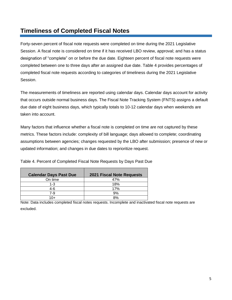## **Timeliness of Completed Fiscal Notes**

Forty-seven percent of fiscal note requests were completed on time during the 2021 Legislative Session. A fiscal note is considered on time if it has received LBO review, approval; and has a status designation of "complete" on or before the due date. Eighteen percent of fiscal note requests were completed between one to three days after an assigned due date. Table 4 provides percentages of completed fiscal note requests according to categories of timeliness during the 2021 Legislative Session.

The measurements of timeliness are reported using calendar days. Calendar days account for activity that occurs outside normal business days. The Fiscal Note Tracking System (FNTS) assigns a default due date of eight business days, which typically totals to 10-12 calendar days when weekends are taken into account.

Many factors that influence whether a fiscal note is completed on time are not captured by these metrics. These factors include: complexity of bill language; days allowed to complete; coordinating assumptions between agencies; changes requested by the LBO after submission; presence of new or updated information; and changes in due dates to reprioritize request.

| <b>Calendar Days Past Due</b> | <b>2021 Fiscal Note Requests</b> |
|-------------------------------|----------------------------------|
| On time                       | 47%                              |
| 1-3                           | 18%                              |
| 4-6                           | 17%                              |
| 7-9                           | 9%                               |
| 1∩+                           | 8%                               |

Table 4. Percent of Completed Fiscal Note Requests by Days Past Due

Note: Data includes completed fiscal notes requests. Incomplete and inactivated fiscal note requests are excluded.